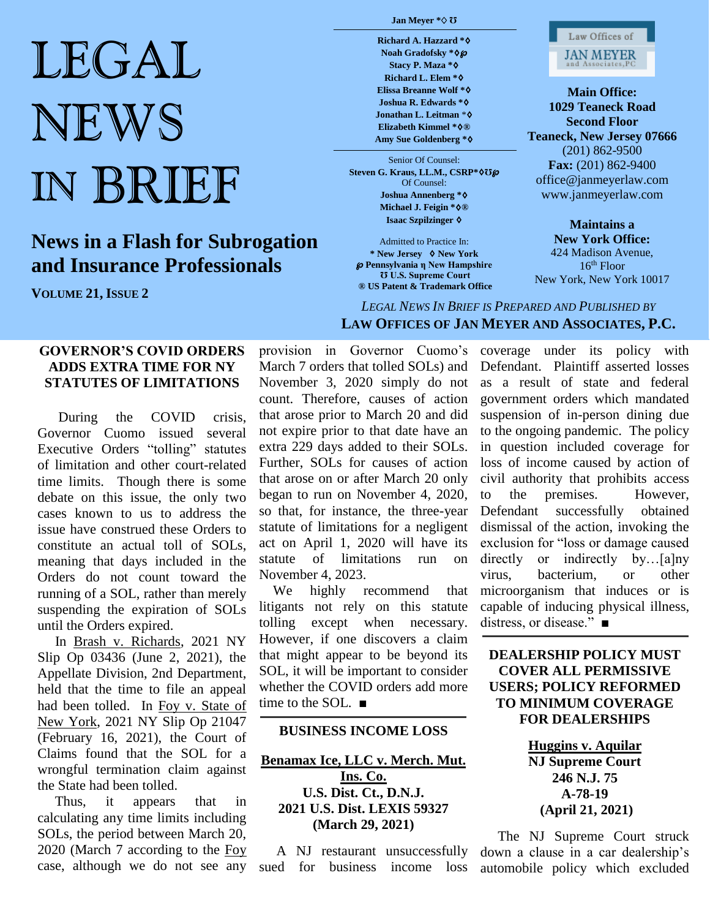# LEGAL NEWS IN BRIEF

## **News in a Flash for Subrogation and Insurance Professionals**

**VOLUME 21, ISSUE 2**

#### **Jan Meyer \***♢ **Ʊ**

**Richard A. Hazzard \***♢ **Noah Gradofsky \***♢℘ **Stacy P. Maza \***♢ **Richard L. Elem \***♢ **Elissa Breanne Wolf \***♢ **Joshua R. Edwards \***♢ **Jonathan L. Leitman** \*♢ **Elizabeth Kimmel \***♢**® Amy Sue Goldenberg \***♢

Senior Of Counsel: **Steven G. Kraus, LL.M., CSRP\***♢**Ʊ**℘ Of Counsel: **Joshua Annenberg \***♢ **Michael J. Feigin \***♢**® Isaac Szpilzinger** ♢

Admitted to Practice In: **\* New Jersey** ♢ **New York** ℘ **Pennsylvania η New Hampshire Ʊ U.S. Supreme Court ® US Patent & Trademark Office**



**Main Office: 1029 Teaneck Road Second Floor Teaneck, New Jersey 07666** (201) 862-9500 **Fax:** (201) 862-9400 office@janmeyerlaw.com www.janmeyerlaw.com

**Maintains a New York Office:** 424 Madison Avenue, 16th Floor New York, New York 10017

*LEGAL NEWS IN BRIEF IS PREPARED AND PUBLISHED BY*  **LAW OFFICES OF JAN MEYER AND ASSOCIATES, P.C.**

#### **GOVERNOR'S COVID ORDERS ADDS EXTRA TIME FOR NY STATUTES OF LIMITATIONS**

During the COVID crisis, Governor Cuomo issued several Executive Orders "tolling" statutes of limitation and other court-related time limits. Though there is some debate on this issue, the only two cases known to us to address the issue have construed these Orders to constitute an actual toll of SOLs, meaning that days included in the Orders do not count toward the running of a SOL, rather than merely suspending the expiration of SOLs until the Orders expired.

 In Brash v. Richards, 2021 NY Slip Op 03436 (June 2, 2021), the Appellate Division, 2nd Department, held that the time to file an appeal had been tolled. In Foy v. State of New York, 2021 NY Slip Op 21047 (February 16, 2021), the Court of Claims found that the SOL for a wrongful termination claim against the State had been tolled.

 Thus, it appears that in calculating any time limits including SOLs, the period between March 20, 2020 (March 7 according to the Foy case, although we do not see any

provision in Governor Cuomo's March 7 orders that tolled SOLs) and November 3, 2020 simply do not count. Therefore, causes of action that arose prior to March 20 and did not expire prior to that date have an extra 229 days added to their SOLs. Further, SOLs for causes of action that arose on or after March 20 only began to run on November 4, 2020, so that, for instance, the three-year statute of limitations for a negligent act on April 1, 2020 will have its statute of limitations run on November 4, 2023.

 We highly recommend that litigants not rely on this statute tolling except when necessary. However, if one discovers a claim that might appear to be beyond its SOL, it will be important to consider whether the COVID orders add more time to the SOL. ■

#### **BUSINESS INCOME LOSS**

**Benamax Ice, LLC v. Merch. Mut. Ins. Co. U.S. Dist. Ct., D.N.J. 2021 U.S. Dist. LEXIS 59327 (March 29, 2021)**

 A NJ restaurant unsuccessfully sued for business income loss

coverage under its policy with Defendant. Plaintiff asserted losses as a result of state and federal government orders which mandated suspension of in-person dining due to the ongoing pandemic. The policy in question included coverage for loss of income caused by action of civil authority that prohibits access to the premises. However, Defendant successfully obtained dismissal of the action, invoking the exclusion for "loss or damage caused directly or indirectly by...[a]ny virus, bacterium, or other microorganism that induces or is capable of inducing physical illness, distress, or disease." ■

**DEALERSHIP POLICY MUST COVER ALL PERMISSIVE USERS; POLICY REFORMED TO MINIMUM COVERAGE FOR DEALERSHIPS**

> **Huggins v. Aquilar NJ Supreme Court 246 N.J. 75 A-78-19 (April 21, 2021)**

 The NJ Supreme Court struck down a clause in a car dealership's automobile policy which excluded